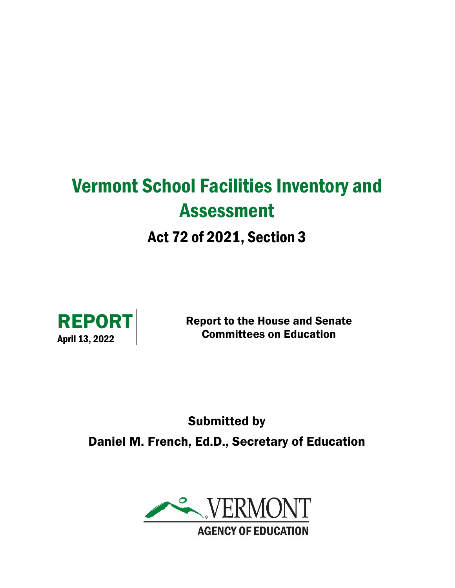# Vermont School Facilities Inventory and Assessment Act 72 of 2021, Section 3



Report to the House and Senate Committees on Education

Submitted by Daniel M. French, Ed.D., Secretary of Education

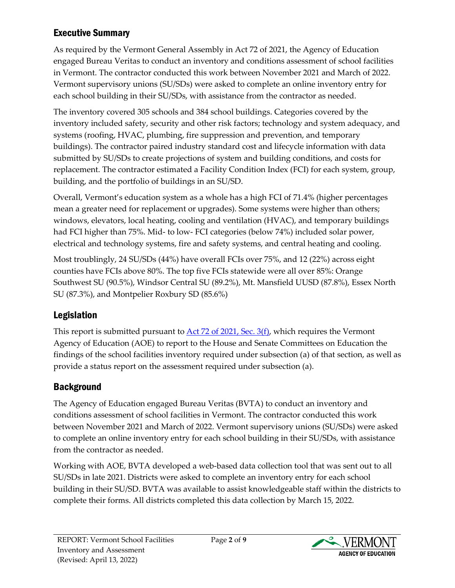# Executive Summary

As required by the Vermont General Assembly in Act 72 of 2021, the Agency of Education engaged Bureau Veritas to conduct an inventory and conditions assessment of school facilities in Vermont. The contractor conducted this work between November 2021 and March of 2022. Vermont supervisory unions (SU/SDs) were asked to complete an online inventory entry for each school building in their SU/SDs, with assistance from the contractor as needed.

The inventory covered 305 schools and 384 school buildings. Categories covered by the inventory included safety, security and other risk factors; technology and system adequacy, and systems (roofing, HVAC, plumbing, fire suppression and prevention, and temporary buildings). The contractor paired industry standard cost and lifecycle information with data submitted by SU/SDs to create projections of system and building conditions, and costs for replacement. The contractor estimated a Facility Condition Index (FCI) for each system, group, building, and the portfolio of buildings in an SU/SD.

Overall, Vermont's education system as a whole has a high FCI of 71.4% (higher percentages mean a greater need for replacement or upgrades). Some systems were higher than others; windows, elevators, local heating, cooling and ventilation (HVAC), and temporary buildings had FCI higher than 75%. Mid- to low- FCI categories (below 74%) included solar power, electrical and technology systems, fire and safety systems, and central heating and cooling.

Most troublingly, 24 SU/SDs (44%) have overall FCIs over 75%, and 12 (22%) across eight counties have FCIs above 80%. The top five FCIs statewide were all over 85%: Orange Southwest SU (90.5%), Windsor Central SU (89.2%), Mt. Mansfield UUSD (87.8%), Essex North SU (87.3%), and Montpelier Roxbury SD (85.6%)

# Legislation

This report is submitted pursuant to [Act 72 of 2021, Sec. 3\(f\),](https://legislature.vermont.gov/bill/status/2022/H.426) which requires the Vermont Agency of Education (AOE) to report to the House and Senate Committees on Education the findings of the school facilities inventory required under subsection (a) of that section, as well as provide a status report on the assessment required under subsection (a).

# **Background**

The Agency of Education engaged Bureau Veritas (BVTA) to conduct an inventory and conditions assessment of school facilities in Vermont. The contractor conducted this work between November 2021 and March of 2022. Vermont supervisory unions (SU/SDs) were asked to complete an online inventory entry for each school building in their SU/SDs, with assistance from the contractor as needed.

Working with AOE, BVTA developed a web-based data collection tool that was sent out to all SU/SDs in late 2021. Districts were asked to complete an inventory entry for each school building in their SU/SD. BVTA was available to assist knowledgeable staff within the districts to complete their forms. All districts completed this data collection by March 15, 2022.

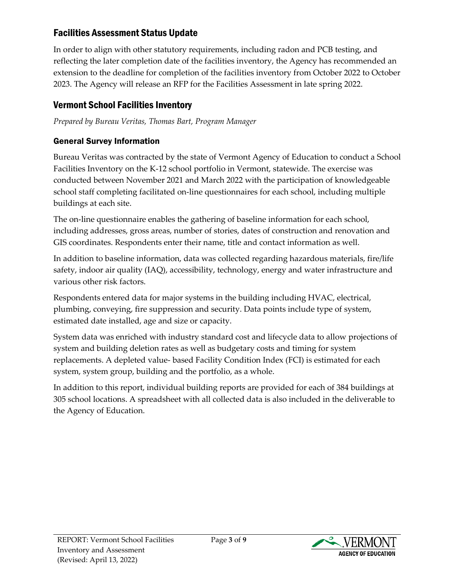## Facilities Assessment Status Update

In order to align with other statutory requirements, including radon and PCB testing, and reflecting the later completion date of the facilities inventory, the Agency has recommended an extension to the deadline for completion of the facilities inventory from October 2022 to October 2023. The Agency will release an RFP for the Facilities Assessment in late spring 2022.

# Vermont School Facilities Inventory

*Prepared by Bureau Veritas, Thomas Bart, Program Manager*

## General Survey Information

Bureau Veritas was contracted by the state of Vermont Agency of Education to conduct a School Facilities Inventory on the K-12 school portfolio in Vermont, statewide. The exercise was conducted between November 2021 and March 2022 with the participation of knowledgeable school staff completing facilitated on-line questionnaires for each school, including multiple buildings at each site.

The on-line questionnaire enables the gathering of baseline information for each school, including addresses, gross areas, number of stories, dates of construction and renovation and GIS coordinates. Respondents enter their name, title and contact information as well.

In addition to baseline information, data was collected regarding hazardous materials, fire/life safety, indoor air quality (IAQ), accessibility, technology, energy and water infrastructure and various other risk factors.

Respondents entered data for major systems in the building including HVAC, electrical, plumbing, conveying, fire suppression and security. Data points include type of system, estimated date installed, age and size or capacity.

System data was enriched with industry standard cost and lifecycle data to allow projections of system and building deletion rates as well as budgetary costs and timing for system replacements. A depleted value- based Facility Condition Index (FCI) is estimated for each system, system group, building and the portfolio, as a whole.

In addition to this report, individual building reports are provided for each of 384 buildings at 305 school locations. A spreadsheet with all collected data is also included in the deliverable to the Agency of Education.

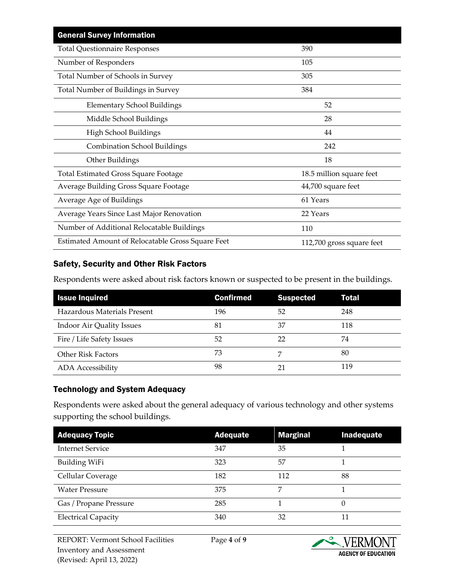| <b>General Survey Information</b>                 |                           |
|---------------------------------------------------|---------------------------|
| <b>Total Questionnaire Responses</b>              | 390                       |
| Number of Responders                              | 105                       |
| Total Number of Schools in Survey                 | 305                       |
| Total Number of Buildings in Survey               | 384                       |
| <b>Elementary School Buildings</b>                | 52                        |
| Middle School Buildings                           | 28                        |
| High School Buildings                             | 44                        |
| <b>Combination School Buildings</b>               | 242                       |
| Other Buildings                                   | 18                        |
| <b>Total Estimated Gross Square Footage</b>       | 18.5 million square feet  |
| Average Building Gross Square Footage             | 44,700 square feet        |
| Average Age of Buildings                          | 61 Years                  |
| Average Years Since Last Major Renovation         | 22 Years                  |
| Number of Additional Relocatable Buildings        | 110                       |
| Estimated Amount of Relocatable Gross Square Feet | 112,700 gross square feet |

#### Safety, Security and Other Risk Factors

Respondents were asked about risk factors known or suspected to be present in the buildings.

| <b>Issue Inquired</b>       | <b>Confirmed</b> | <b>Suspected</b> | Total |
|-----------------------------|------------------|------------------|-------|
| Hazardous Materials Present | 196              | 52               | 248   |
| Indoor Air Quality Issues   | 81               | 37               | 118   |
| Fire / Life Safety Issues   | 52               | 22               | 74    |
| <b>Other Risk Factors</b>   | 73               |                  | 80    |
| <b>ADA</b> Accessibility    | 98               |                  | 119   |

#### Technology and System Adequacy

Respondents were asked about the general adequacy of various technology and other systems supporting the school buildings.

| <b>Adequacy Topic</b>      | <b>Adequate</b> | <b>Marginal</b> | Inadequate |
|----------------------------|-----------------|-----------------|------------|
| <b>Internet Service</b>    | 347             | 35              |            |
| <b>Building WiFi</b>       | 323             | 57              |            |
| Cellular Coverage          | 182             | 112             | 88         |
| <b>Water Pressure</b>      | 375             | ヮ               |            |
| Gas / Propane Pressure     | 285             |                 | 0          |
| <b>Electrical Capacity</b> | 340             | 32              | 11         |

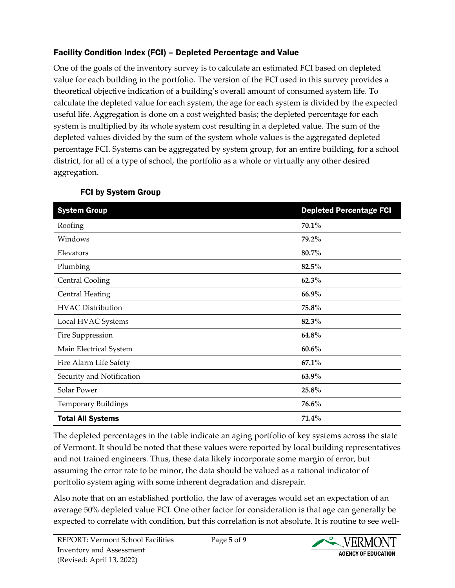## Facility Condition Index (FCI) – Depleted Percentage and Value

One of the goals of the inventory survey is to calculate an estimated FCI based on depleted value for each building in the portfolio. The version of the FCI used in this survey provides a theoretical objective indication of a building's overall amount of consumed system life. To calculate the depleted value for each system, the age for each system is divided by the expected useful life. Aggregation is done on a cost weighted basis; the depleted percentage for each system is multiplied by its whole system cost resulting in a depleted value. The sum of the depleted values divided by the sum of the system whole values is the aggregated depleted percentage FCI. Systems can be aggregated by system group, for an entire building, for a school district, for all of a type of school, the portfolio as a whole or virtually any other desired aggregation.

| <b>System Group</b>        | <b>Depleted Percentage FCI</b> |
|----------------------------|--------------------------------|
| Roofing                    | 70.1%                          |
| Windows                    | 79.2%                          |
| Elevators                  | 80.7%                          |
| Plumbing                   | 82.5%                          |
| <b>Central Cooling</b>     | 62.3%                          |
| <b>Central Heating</b>     | 66.9%                          |
| <b>HVAC Distribution</b>   | 75.8%                          |
| Local HVAC Systems         | 82.3%                          |
| Fire Suppression           | 64.8%                          |
| Main Electrical System     | $60.6\%$                       |
| Fire Alarm Life Safety     | $67.1\%$                       |
| Security and Notification  | 63.9%                          |
| Solar Power                | 25.8%                          |
| <b>Temporary Buildings</b> | 76.6%                          |
| <b>Total All Systems</b>   | 71.4%                          |

## FCI by System Group

The depleted percentages in the table indicate an aging portfolio of key systems across the state of Vermont. It should be noted that these values were reported by local building representatives and not trained engineers. Thus, these data likely incorporate some margin of error, but assuming the error rate to be minor, the data should be valued as a rational indicator of portfolio system aging with some inherent degradation and disrepair.

Also note that on an established portfolio, the law of averages would set an expectation of an average 50% depleted value FCI. One other factor for consideration is that age can generally be expected to correlate with condition, but this correlation is not absolute. It is routine to see well-

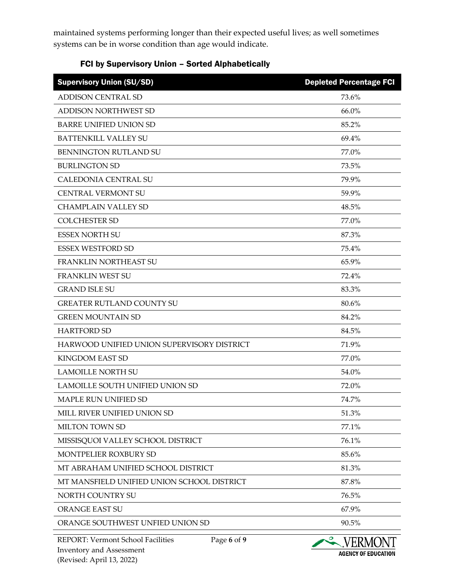maintained systems performing longer than their expected useful lives; as well sometimes systems can be in worse condition than age would indicate.

#### FCI by Supervisory Union – Sorted Alphabetically

| <b>Supervisory Union (SU/SD)</b>           | <b>Depleted Percentage FCI</b> |
|--------------------------------------------|--------------------------------|
| <b>ADDISON CENTRAL SD</b>                  | 73.6%                          |
| <b>ADDISON NORTHWEST SD</b>                | 66.0%                          |
| <b>BARRE UNIFIED UNION SD</b>              | 85.2%                          |
| <b>BATTENKILL VALLEY SU</b>                | 69.4%                          |
| <b>BENNINGTON RUTLAND SU</b>               | 77.0%                          |
| <b>BURLINGTON SD</b>                       | 73.5%                          |
| <b>CALEDONIA CENTRAL SU</b>                | 79.9%                          |
| <b>CENTRAL VERMONT SU</b>                  | 59.9%                          |
| <b>CHAMPLAIN VALLEY SD</b>                 | 48.5%                          |
| <b>COLCHESTER SD</b>                       | 77.0%                          |
| <b>ESSEX NORTH SU</b>                      | 87.3%                          |
| <b>ESSEX WESTFORD SD</b>                   | 75.4%                          |
| <b>FRANKLIN NORTHEAST SU</b>               | 65.9%                          |
| <b>FRANKLIN WEST SU</b>                    | 72.4%                          |
| <b>GRAND ISLE SU</b>                       | 83.3%                          |
| <b>GREATER RUTLAND COUNTY SU</b>           | 80.6%                          |
| <b>GREEN MOUNTAIN SD</b>                   | 84.2%                          |
| <b>HARTFORD SD</b>                         | 84.5%                          |
| HARWOOD UNIFIED UNION SUPERVISORY DISTRICT | 71.9%                          |
| <b>KINGDOM EAST SD</b>                     | 77.0%                          |
| <b>LAMOILLE NORTH SU</b>                   | 54.0%                          |
| LAMOILLE SOUTH UNIFIED UNION SD            | 72.0%                          |
| <b>MAPLE RUN UNIFIED SD</b>                | 74.7%                          |
| MILL RIVER UNIFIED UNION SD                | 51.3%                          |
| MILTON TOWN SD                             | 77.1%                          |
| MISSISQUOI VALLEY SCHOOL DISTRICT          | 76.1%                          |
| <b>MONTPELIER ROXBURY SD</b>               | 85.6%                          |
| MT ABRAHAM UNIFIED SCHOOL DISTRICT         | 81.3%                          |
| MT MANSFIELD UNIFIED UNION SCHOOL DISTRICT | 87.8%                          |
| NORTH COUNTRY SU                           | 76.5%                          |
| <b>ORANGE EAST SU</b>                      | 67.9%                          |
| ORANGE SOUTHWEST UNFIED UNION SD           | 90.5%                          |
|                                            |                                |

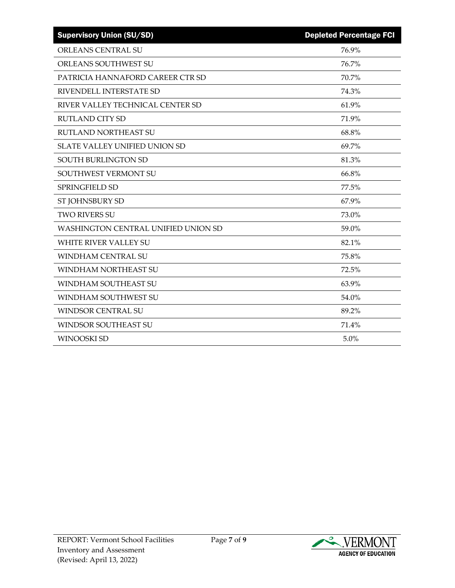| <b>Supervisory Union (SU/SD)</b>     | <b>Depleted Percentage FCI</b> |
|--------------------------------------|--------------------------------|
| <b>ORLEANS CENTRAL SU</b>            | 76.9%                          |
| ORLEANS SOUTHWEST SU                 | 76.7%                          |
| PATRICIA HANNAFORD CAREER CTR SD     | 70.7%                          |
| RIVENDELL INTERSTATE SD              | 74.3%                          |
| RIVER VALLEY TECHNICAL CENTER SD     | 61.9%                          |
| <b>RUTLAND CITY SD</b>               | 71.9%                          |
| <b>RUTLAND NORTHEAST SU</b>          | 68.8%                          |
| <b>SLATE VALLEY UNIFIED UNION SD</b> | 69.7%                          |
| SOUTH BURLINGTON SD                  | 81.3%                          |
| SOUTHWEST VERMONT SU                 | 66.8%                          |
| SPRINGFIELD SD                       | 77.5%                          |
| ST JOHNSBURY SD                      | 67.9%                          |
| <b>TWO RIVERS SU</b>                 | 73.0%                          |
| WASHINGTON CENTRAL UNIFIED UNION SD  | 59.0%                          |
| <b>WHITE RIVER VALLEY SU</b>         | 82.1%                          |
| <b>WINDHAM CENTRAL SU</b>            | 75.8%                          |
| WINDHAM NORTHEAST SU                 | 72.5%                          |
| WINDHAM SOUTHEAST SU                 | 63.9%                          |
| WINDHAM SOUTHWEST SU                 | 54.0%                          |
| <b>WINDSOR CENTRAL SU</b>            | 89.2%                          |
| WINDSOR SOUTHEAST SU                 | 71.4%                          |
| <b>WINOOSKI SD</b>                   | 5.0%                           |

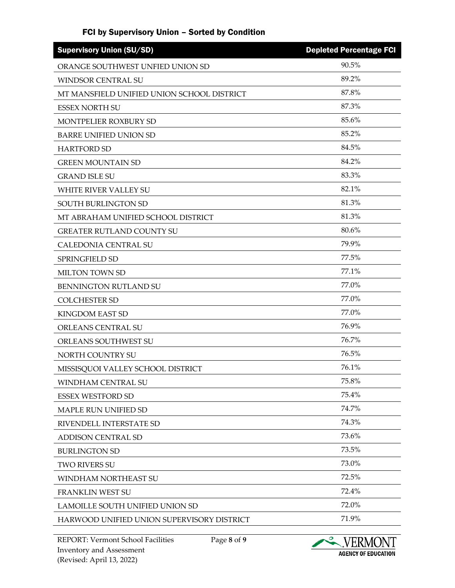#### FCI by Supervisory Union – Sorted by Condition

| <b>Supervisory Union (SU/SD)</b>           | <b>Depleted Percentage FCI</b> |
|--------------------------------------------|--------------------------------|
| ORANGE SOUTHWEST UNFIED UNION SD           | 90.5%                          |
| WINDSOR CENTRAL SU                         | 89.2%                          |
| MT MANSFIELD UNIFIED UNION SCHOOL DISTRICT | 87.8%                          |
| <b>ESSEX NORTH SU</b>                      | 87.3%                          |
| MONTPELIER ROXBURY SD                      | 85.6%                          |
| <b>BARRE UNIFIED UNION SD</b>              | 85.2%                          |
| <b>HARTFORD SD</b>                         | 84.5%                          |
| <b>GREEN MOUNTAIN SD</b>                   | 84.2%                          |
| <b>GRAND ISLE SU</b>                       | 83.3%                          |
| WHITE RIVER VALLEY SU                      | 82.1%                          |
| SOUTH BURLINGTON SD                        | 81.3%                          |
| MT ABRAHAM UNIFIED SCHOOL DISTRICT         | 81.3%                          |
| <b>GREATER RUTLAND COUNTY SU</b>           | 80.6%                          |
| CALEDONIA CENTRAL SU                       | 79.9%                          |
| <b>SPRINGFIELD SD</b>                      | 77.5%                          |
| <b>MILTON TOWN SD</b>                      | 77.1%                          |
| BENNINGTON RUTLAND SU                      | 77.0%                          |
| <b>COLCHESTER SD</b>                       | 77.0%                          |
| <b>KINGDOM EAST SD</b>                     | 77.0%                          |
| ORLEANS CENTRAL SU                         | 76.9%                          |
| ORLEANS SOUTHWEST SU                       | 76.7%                          |
| NORTH COUNTRY SU                           | 76.5%                          |
| MISSISQUOI VALLEY SCHOOL DISTRICT          | 76.1%                          |
| WINDHAM CENTRAL SU                         | 75.8%                          |
| <b>ESSEX WESTFORD SD</b>                   | 75.4%                          |
| MAPLE RUN UNIFIED SD                       | 74.7%                          |
| RIVENDELL INTERSTATE SD                    | 74.3%                          |
| <b>ADDISON CENTRAL SD</b>                  | 73.6%                          |
| <b>BURLINGTON SD</b>                       | 73.5%                          |
| <b>TWO RIVERS SU</b>                       | 73.0%                          |
| WINDHAM NORTHEAST SU                       | 72.5%                          |
| FRANKLIN WEST SU                           | 72.4%                          |
| LAMOILLE SOUTH UNIFIED UNION SD            | 72.0%                          |
| HARWOOD UNIFIED UNION SUPERVISORY DISTRICT | 71.9%                          |